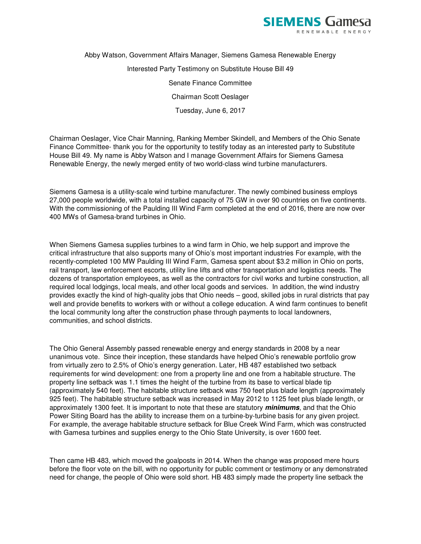

Abby Watson, Government Affairs Manager, Siemens Gamesa Renewable Energy Interested Party Testimony on Substitute House Bill 49 Senate Finance Committee Chairman Scott Oeslager Tuesday, June 6, 2017

Chairman Oeslager, Vice Chair Manning, Ranking Member Skindell, and Members of the Ohio Senate Finance Committee- thank you for the opportunity to testify today as an interested party to Substitute House Bill 49. My name is Abby Watson and I manage Government Affairs for Siemens Gamesa Renewable Energy, the newly merged entity of two world-class wind turbine manufacturers.

Siemens Gamesa is a utility-scale wind turbine manufacturer. The newly combined business employs 27,000 people worldwide, with a total installed capacity of 75 GW in over 90 countries on five continents. With the commissioning of the Paulding III Wind Farm completed at the end of 2016, there are now over 400 MWs of Gamesa-brand turbines in Ohio.

When Siemens Gamesa supplies turbines to a wind farm in Ohio, we help support and improve the critical infrastructure that also supports many of Ohio's most important industries For example, with the recently-completed 100 MW Paulding III Wind Farm, Gamesa spent about \$3.2 million in Ohio on ports, rail transport, law enforcement escorts, utility line lifts and other transportation and logistics needs. The dozens of transportation employees, as well as the contractors for civil works and turbine construction, all required local lodgings, local meals, and other local goods and services. In addition, the wind industry provides exactly the kind of high-quality jobs that Ohio needs – good, skilled jobs in rural districts that pay well and provide benefits to workers with or without a college education. A wind farm continues to benefit the local community long after the construction phase through payments to local landowners, communities, and school districts.

The Ohio General Assembly passed renewable energy and energy standards in 2008 by a near unanimous vote. Since their inception, these standards have helped Ohio's renewable portfolio grow from virtually zero to 2.5% of Ohio's energy generation. Later, HB 487 established two setback requirements for wind development: one from a property line and one from a habitable structure. The property line setback was 1.1 times the height of the turbine from its base to vertical blade tip (approximately 540 feet). The habitable structure setback was 750 feet plus blade length (approximately 925 feet). The habitable structure setback was increased in May 2012 to 1125 feet plus blade length, or approximately 1300 feet. It is important to note that these are statutory **minimums**, and that the Ohio Power Siting Board has the ability to increase them on a turbine-by-turbine basis for any given project. For example, the average habitable structure setback for Blue Creek Wind Farm, which was constructed with Gamesa turbines and supplies energy to the Ohio State University, is over 1600 feet.

Then came HB 483, which moved the goalposts in 2014. When the change was proposed mere hours before the floor vote on the bill, with no opportunity for public comment or testimony or any demonstrated need for change, the people of Ohio were sold short. HB 483 simply made the property line setback the